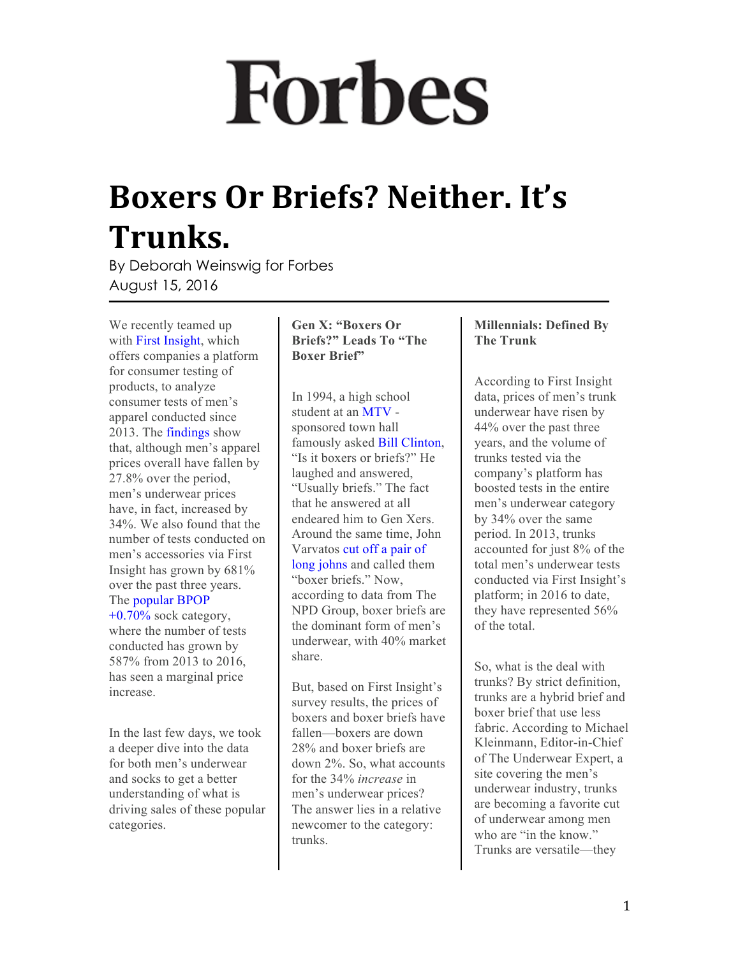# **Forbes**

### **Boxers Or Briefs? Neither. It's Trunks.**

By Deborah Weinswig for Forbes August 15, 2016

We recently teamed up with [First Insight](http://www.firstinsight.com/), which offers companies a platform for consumer testing of products, to analyze consumer tests of men's apparel conducted since 2013. The [findings](http://info.firstinsight.com/menswear-pricing-report) show that, although men's apparel prices overall have fallen by 27.8% over the period, men's underwear prices have, in fact, increased by 34%. We also found that the number of tests conducted on men's accessories via First Insight has grown by 681% over the past three years. The [popular](http://www.forbes.com/companies/popular) [BPOP](http://www.forbes.com/companies/popular)   $+0.70\%$  sock category, where the number of tests conducted has grown by 587% from 2013 to 2016, has seen a marginal price increase.

In the last few days, we took a deeper dive into the data for both men's underwear and socks to get a better understanding of what is driving sales of these popular categories.

#### **Gen X: "Boxers Or Briefs?" Leads To "The Boxer Brief"**

In 1994, a high school student at an [MTV](http://www.forbes.com/companies/mtv) sponsored town hall famously asked [Bill Clinton](http://www.forbes.com/profile/bill-clinton/), "Is it boxers or briefs?" He laughed and answered, "Usually briefs." The fact that he answered at all endeared him to Gen Xers. Around the same time, John Varvatos [cut off a pair of](http://www.bloomberg.com/news/articles/2015-02-26/how-the-boxer-brief-got-into-america-s-pants) [long johns](http://www.bloomberg.com/news/articles/2015-02-26/how-the-boxer-brief-got-into-america-s-pants) and called them "boxer briefs." Now, according to data from The NPD Group, boxer briefs are the dominant form of men's underwear, with 40% market share.

But, based on First Insight's survey results, the prices of boxers and boxer briefs have fallen—boxers are down 28% and boxer briefs are down 2%. So, what accounts for the 34% *increase* in men's underwear prices? The answer lies in a relative newcomer to the category: trunks.

### **Millennials: Defined By The Trunk**

According to First Insight data, prices of men's trunk underwear have risen by 44% over the past three years, and the volume of trunks tested via the company's platform has boosted tests in the entire men's underwear category by 34% over the same period. In 2013, trunks accounted for just 8% of the total men's underwear tests conducted via First Insight's platform; in 2016 to date, they have represented 56% of the total.

So, what is the deal with trunks? By strict definition, trunks are a hybrid brief and boxer brief that use less fabric. According to Michael Kleinmann, Editor-in-Chief of The Underwear Expert, a site covering the men's underwear industry, trunks are becoming a favorite cut of underwear among men who are "in the know." Trunks are versatile—they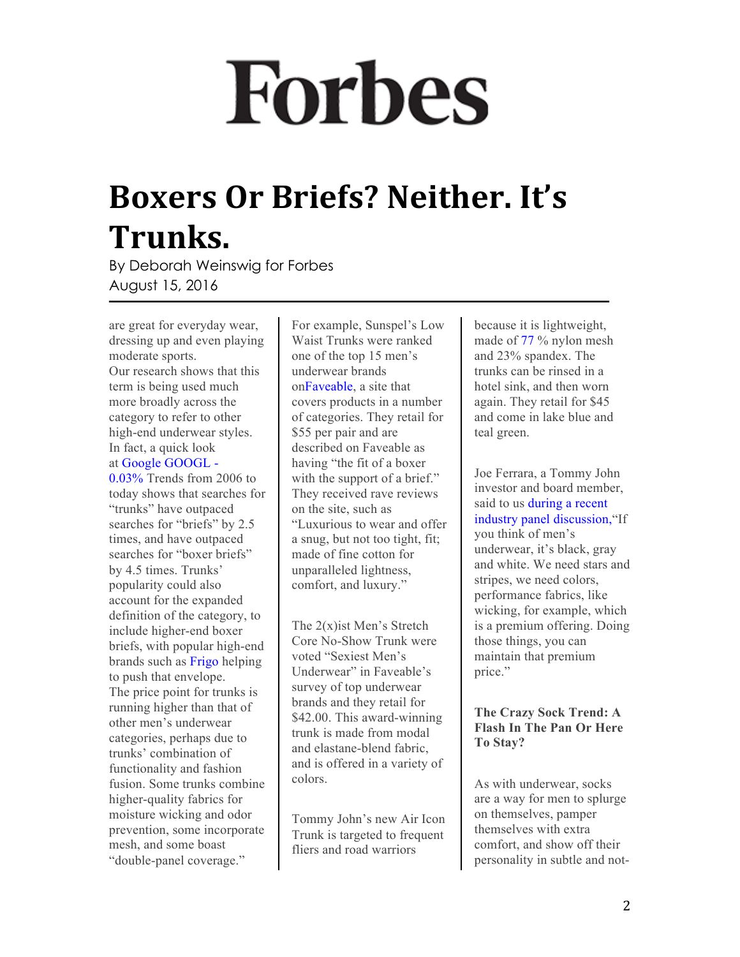## **Forbes**

## **Boxers Or Briefs? Neither. It's Trunks.**

By Deborah Weinswig for Forbes August 15, 2016

are great for everyday wear, dressing up and even playing moderate sports. Our research shows that this term is being used much more broadly across the category to refer to other high-end underwear styles. In fact, a quick look at [Google](http://www.forbes.com/companies/google) [GOOGL](http://www.forbes.com/companies/google) - [0.03%](http://www.forbes.com/companies/google) Trends from 2006 to today shows that searches for "trunks" have outpaced searches for "briefs" by 2.5 times, and have outpaced searches for "boxer briefs" by 4.5 times. Trunks' popularity could also account for the expanded definition of the category, to include higher-end boxer briefs, with popular high-end brands such as [Frigo](http://www.neimanmarcus.com/Frigo-Super-6-Trunks-Black/prod185020316/p.prod?icid=&searchType=MAIN&rte=%2Fsearch.jsp%3Ffrom%3DbrSearch%26request_type%3Dsearch%26search_type%3Dkeyword%26q%3Dfrigo&eItemId=prod185020316&cmCat=search&tc=17¤tItemCount=1&q=frigo&searchURL=/search.jsp%3Ffrom%3DbrSearch%26start%3D0%26rows%3D30%26q%3Dfrigo%26l%3Dfrigo%26request_type%3Dsearch%26search_type%3Dkeyword) helping to push that envelope. The price point for trunks is running higher than that of other men's underwear categories, perhaps due to trunks' combination of functionality and fashion fusion. Some trunks combine higher-quality fabrics for moisture wicking and odor prevention, some incorporate mesh, and some boast "double-panel coverage."

For example, Sunspel's Low Waist Trunks were ranked one of the top 15 men's underwear brands o[nFaveable](https://faveable.com/articles/72/11-best-underwear-brands-for-men-), a site that covers products in a number of categories. They retail for \$55 per pair and are described on Faveable as having "the fit of a boxer with the support of a brief." They received rave reviews on the site, such as "Luxurious to wear and offer a snug, but not too tight, fit; made of fine cotton for unparalleled lightness, comfort, and luxury."

The 2(x)ist Men's Stretch Core No-Show Trunk were voted "Sexiest Men's Underwear" in Faveable's survey of top underwear brands and they retail for \$42.00. This award-winning trunk is made from modal and elastane-blend fabric, and is offered in a variety of colors.

Tommy John's new Air Icon Trunk is targeted to frequent fliers and road warriors

because it is lightweight, made of [77](http://www.forbes.com/companies/77) % nylon mesh and 23% spandex. The trunks can be rinsed in a hotel sink, and then worn again. They retail for \$45 and come in lake blue and teal green.

Joe Ferrara, a Tommy John investor and board member, said to us [during a recent](http://www.mr-mag.com/p1vot-breakfast-panel-retail-technology/) [industry panel discussion,](http://www.mr-mag.com/p1vot-breakfast-panel-retail-technology/)"If you think of men's underwear, it's black, gray and white. We need stars and stripes, we need colors, performance fabrics, like wicking, for example, which is a premium offering. Doing those things, you can maintain that premium price."

#### **The Crazy Sock Trend: A Flash In The Pan Or Here To Stay?**

As with underwear, socks are a way for men to splurge on themselves, pamper themselves with extra comfort, and show off their personality in subtle and not-